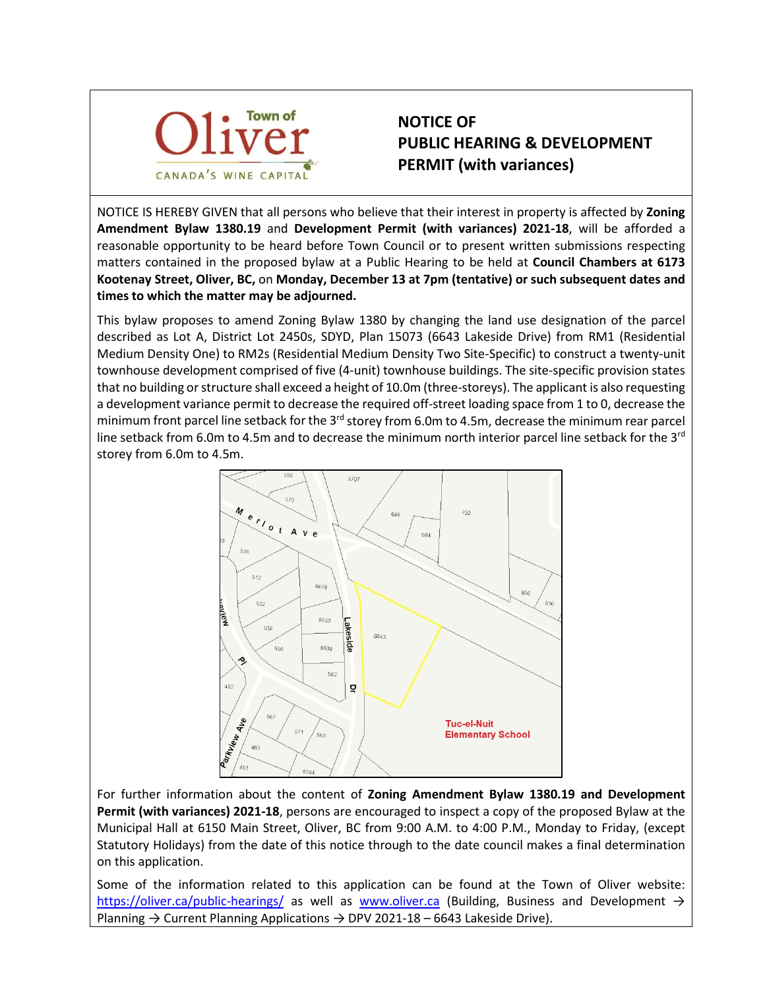

## **NOTICE OF PUBLIC HEARING & DEVELOPMENT PERMIT (with variances)**

NOTICE IS HEREBY GIVEN that all persons who believe that their interest in property is affected by **Zoning Amendment Bylaw 1380.19** and **Development Permit (with variances) 2021-18**, will be afforded a reasonable opportunity to be heard before Town Council or to present written submissions respecting matters contained in the proposed bylaw at a Public Hearing to be held at **Council Chambers at 6173 Kootenay Street, Oliver, BC,** on **Monday, December 13 at 7pm (tentative) or such subsequent dates and times to which the matter may be adjourned.**

This bylaw proposes to amend Zoning Bylaw 1380 by changing the land use designation of the parcel described as Lot A, District Lot 2450s, SDYD, Plan 15073 (6643 Lakeside Drive) from RM1 (Residential Medium Density One) to RM2s (Residential Medium Density Two Site-Specific) to construct a twenty-unit townhouse development comprised of five (4-unit) townhouse buildings. The site-specific provision states that no building or structure shall exceed a height of 10.0m (three-storeys). The applicant is also requesting a development variance permit to decrease the required off-street loading space from 1 to 0, decrease the minimum front parcel line setback for the  $3<sup>rd</sup>$  storey from 6.0m to 4.5m, decrease the minimum rear parcel line setback from 6.0m to 4.5m and to decrease the minimum north interior parcel line setback for the 3<sup>rd</sup> storey from 6.0m to 4.5m.



For further information about the content of **Zoning Amendment Bylaw 1380.19 and Development Permit (with variances) 2021-18**, persons are encouraged to inspect a copy of the proposed Bylaw at the Municipal Hall at 6150 Main Street, Oliver, BC from 9:00 A.M. to 4:00 P.M., Monday to Friday, (except Statutory Holidays) from the date of this notice through to the date council makes a final determination on this application.

Some of the information related to this application can be found at the Town of Oliver website: <https://oliver.ca/public-hearings/> as well as [www.oliver.ca](http://www.oliver.ca/) (Building, Business and Development  $\rightarrow$ Planning → Current Planning Applications → DPV 2021-18 – 6643 Lakeside Drive).